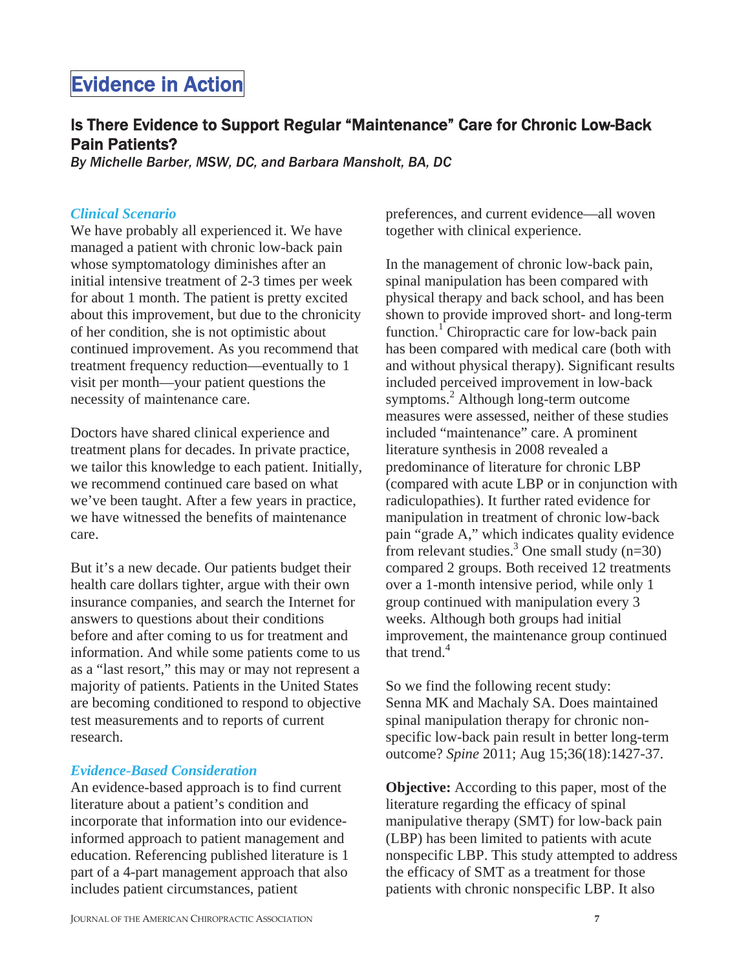# Evidence in Action

# Is There Evidence to Support Regular "Maintenance" Care for Chronic Low-Back Pain Patients?

*By Michelle Barber, MSW, DC, and Barbara Mansholt, BA, DC* 

#### *Clinical Scenario*

We have probably all experienced it. We have managed a patient with chronic low-back pain whose symptomatology diminishes after an initial intensive treatment of 2-3 times per week for about 1 month. The patient is pretty excited about this improvement, but due to the chronicity of her condition, she is not optimistic about continued improvement. As you recommend that treatment frequency reduction—eventually to 1 visit per month—your patient questions the necessity of maintenance care.

Doctors have shared clinical experience and treatment plans for decades. In private practice, we tailor this knowledge to each patient. Initially, we recommend continued care based on what we've been taught. After a few years in practice, we have witnessed the benefits of maintenance care.

But it's a new decade. Our patients budget their health care dollars tighter, argue with their own insurance companies, and search the Internet for answers to questions about their conditions before and after coming to us for treatment and information. And while some patients come to us as a "last resort," this may or may not represent a majority of patients. Patients in the United States are becoming conditioned to respond to objective test measurements and to reports of current research.

#### *Evidence-Based Consideration*

An evidence-based approach is to find current literature about a patient's condition and incorporate that information into our evidenceinformed approach to patient management and education. Referencing published literature is 1 part of a 4-part management approach that also includes patient circumstances, patient

preferences, and current evidence—all woven together with clinical experience.

In the management of chronic low-back pain, spinal manipulation has been compared with physical therapy and back school, and has been shown to provide improved short- and long-term function.<sup>1</sup> Chiropractic care for low-back pain has been compared with medical care (both with and without physical therapy). Significant results included perceived improvement in low-back symptoms.2 Although long-term outcome measures were assessed, neither of these studies included "maintenance" care. A prominent literature synthesis in 2008 revealed a predominance of literature for chronic LBP (compared with acute LBP or in conjunction with radiculopathies). It further rated evidence for manipulation in treatment of chronic low-back pain "grade A," which indicates quality evidence from relevant studies.<sup>3</sup> One small study  $(n=30)$ compared 2 groups. Both received 12 treatments over a 1-month intensive period, while only 1 group continued with manipulation every 3 weeks. Although both groups had initial improvement, the maintenance group continued that trend. $4$ 

So we find the following recent study: Senna MK and Machaly SA. Does maintained spinal manipulation therapy for chronic nonspecific low-back pain result in better long-term outcome? *Spine* 2011; Aug 15;36(18):1427-37.

**Objective:** According to this paper, most of the literature regarding the efficacy of spinal manipulative therapy (SMT) for low-back pain (LBP) has been limited to patients with acute nonspecific LBP. This study attempted to address the efficacy of SMT as a treatment for those patients with chronic nonspecific LBP. It also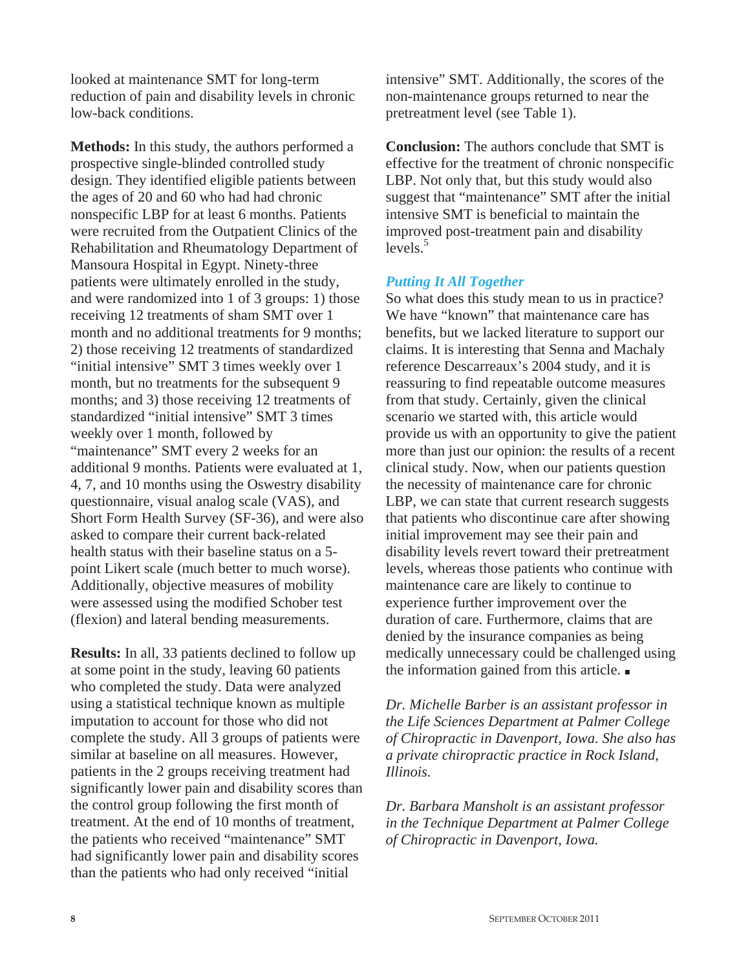looked at maintenance SMT for long-term reduction of pain and disability levels in chronic low-back conditions.

**Methods:** In this study, the authors performed a prospective single-blinded controlled study design. They identified eligible patients between the ages of 20 and 60 who had had chronic nonspecific LBP for at least 6 months. Patients were recruited from the Outpatient Clinics of the Rehabilitation and Rheumatology Department of Mansoura Hospital in Egypt. Ninety-three patients were ultimately enrolled in the study, and were randomized into 1 of 3 groups: 1) those receiving 12 treatments of sham SMT over 1 month and no additional treatments for 9 months; 2) those receiving 12 treatments of standardized "initial intensive" SMT 3 times weekly over 1 month, but no treatments for the subsequent 9 months; and 3) those receiving 12 treatments of standardized "initial intensive" SMT 3 times weekly over 1 month, followed by "maintenance" SMT every 2 weeks for an additional 9 months. Patients were evaluated at 1, 4, 7, and 10 months using the Oswestry disability questionnaire, visual analog scale (VAS), and Short Form Health Survey (SF-36), and were also asked to compare their current back-related health status with their baseline status on a 5 point Likert scale (much better to much worse). Additionally, objective measures of mobility were assessed using the modified Schober test (flexion) and lateral bending measurements.

**Results:** In all, 33 patients declined to follow up at some point in the study, leaving 60 patients who completed the study. Data were analyzed using a statistical technique known as multiple imputation to account for those who did not complete the study. All 3 groups of patients were similar at baseline on all measures. However, patients in the 2 groups receiving treatment had significantly lower pain and disability scores than the control group following the first month of treatment. At the end of 10 months of treatment, the patients who received "maintenance" SMT had significantly lower pain and disability scores than the patients who had only received "initial

intensive" SMT. Additionally, the scores of the non-maintenance groups returned to near the pretreatment level (see Table 1).

**Conclusion:** The authors conclude that SMT is effective for the treatment of chronic nonspecific LBP. Not only that, but this study would also suggest that "maintenance" SMT after the initial intensive SMT is beneficial to maintain the improved post-treatment pain and disability  $levels.<sup>5</sup>$ 

### *Putting It All Together*

So what does this study mean to us in practice? We have "known" that maintenance care has benefits, but we lacked literature to support our claims. It is interesting that Senna and Machaly reference Descarreaux's 2004 study, and it is reassuring to find repeatable outcome measures from that study. Certainly, given the clinical scenario we started with, this article would provide us with an opportunity to give the patient more than just our opinion: the results of a recent clinical study. Now, when our patients question the necessity of maintenance care for chronic LBP, we can state that current research suggests that patients who discontinue care after showing initial improvement may see their pain and disability levels revert toward their pretreatment levels, whereas those patients who continue with maintenance care are likely to continue to experience further improvement over the duration of care. Furthermore, claims that are denied by the insurance companies as being medically unnecessary could be challenged using the information gained from this article.  $\blacksquare$ 

*Dr. Michelle Barber is an assistant professor in the Life Sciences Department at Palmer College of Chiropractic in Davenport, Iowa. She also has a private chiropractic practice in Rock Island, Illinois.*

*Dr. Barbara Mansholt is an assistant professor in the Technique Department at Palmer College of Chiropractic in Davenport, Iowa.*